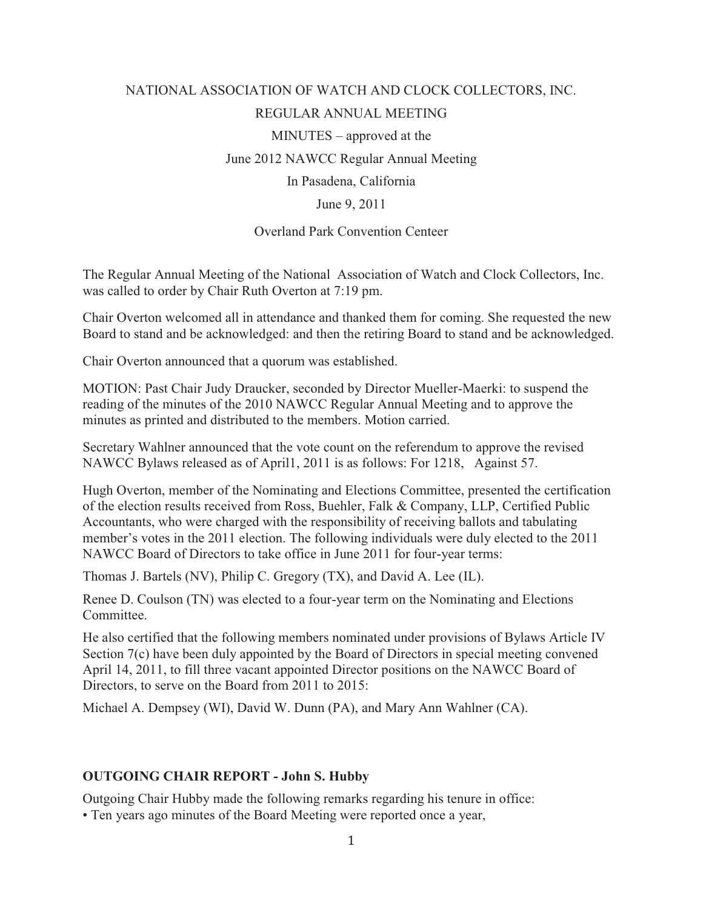# NATIONAL ASSOCIATION OF WATCH AND CLOCK COLLECTORS, INC. REGULAR ANNUAL MEETING MINUTES – approved at the June 2012 NAWCC Regular Annual Meeting In Pasadena, California June 9, 2011

#### Overland Park Convention Centeer

The Regular Annual Meeting of the National Association of Watch and Clock Collectors, Inc. was called to order by Chair Ruth Overton at 7:19 pm.

Chair Overton welcomed all in attendance and thanked them for coming. She requested the new Board to stand and be acknowledged: and then the retiring Board to stand and be acknowledged.

Chair Overton announced that a quorum was established.

MOTION: Past Chair Judy Draucker, seconded by Director Mueller-Maerki: to suspend the reading of the minutes of the 2010 NAWCC Regular Annual Meeting and to approve the minutes as printed and distributed to the members. Motion carried.

Secretary Wahlner announced that the vote count on the referendum to approve the revised NAWCC Bylaws released as of April1, 2011 is as follows: For 1218, Against 57.

Hugh Overton, member of the Nominating and Elections Committee, presented the certification of the election results received from Ross, Buehler, Falk & Company, LLP, Certified Public Accountants, who were charged with the responsibility of receiving ballots and tabulating member's votes in the 2011 election. The following individuals were duly elected to the 2011 NAWCC Board of Directors to take office in June 2011 for four-year terms:

Thomas J. Bartels (NV), Philip C. Gregory (TX), and David A. Lee (IL).

Renee D. Coulson (TN) was elected to a four-year term on the Nominating and Elections Committee.

He also certified that the following members nominated under provisions of Bylaws Article IV Section 7(c) have been duly appointed by the Board of Directors in special meeting convened April 14, 2011, to fill three vacant appointed Director positions on the NAWCC Board of Directors, to serve on the Board from 2011 to 2015:

Michael A. Dempsey (WI), David W. Dunn (PA), and Mary Ann Wahlner (CA).

#### **OUTGOING CHAIR REPORT - John S. Hubby**

Outgoing Chair Hubby made the following remarks regarding his tenure in office:

• Ten years ago minutes of the Board Meeting were reported once a year,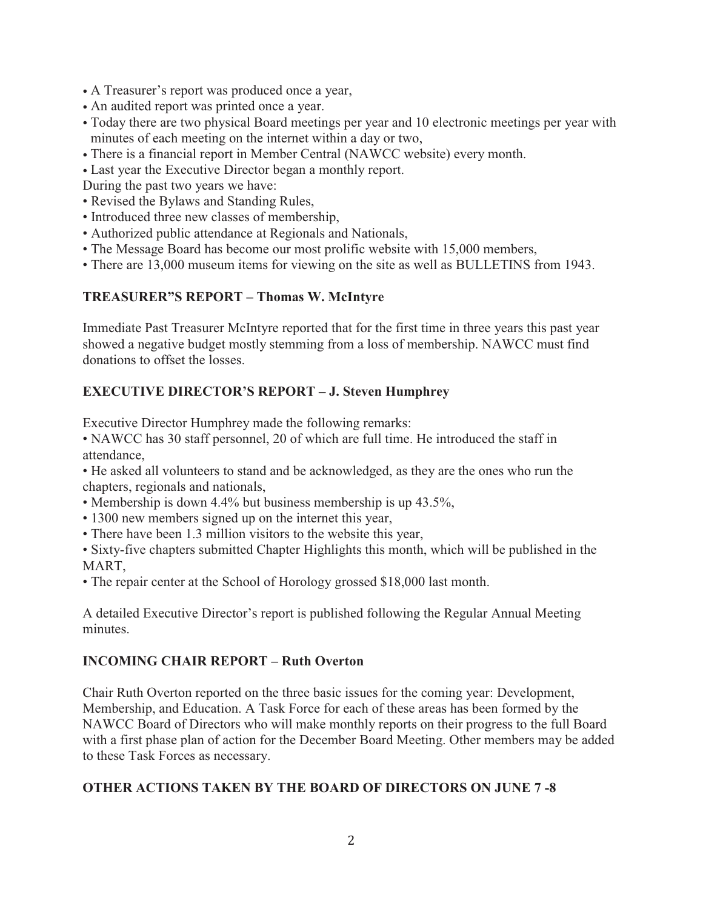- A Treasurer's report was produced once a year,
- An audited report was printed once a year.
- Today there are two physical Board meetings per year and 10 electronic meetings per year with minutes of each meeting on the internet within a day or two,
- There is a financial report in Member Central (NAWCC website) every month.
- Last year the Executive Director began a monthly report.
- During the past two years we have:
- Revised the Bylaws and Standing Rules,
- Introduced three new classes of membership,
- Authorized public attendance at Regionals and Nationals,
- The Message Board has become our most prolific website with 15,000 members,
- There are 13,000 museum items for viewing on the site as well as BULLETINS from 1943.

## **TREASURER"S REPORT – Thomas W. McIntyre**

Immediate Past Treasurer McIntyre reported that for the first time in three years this past year showed a negative budget mostly stemming from a loss of membership. NAWCC must find donations to offset the losses.

## **EXECUTIVE DIRECTOR'S REPORT – J. Steven Humphrey**

Executive Director Humphrey made the following remarks:

• NAWCC has 30 staff personnel, 20 of which are full time. He introduced the staff in attendance,

• He asked all volunteers to stand and be acknowledged, as they are the ones who run the chapters, regionals and nationals,

- Membership is down 4.4% but business membership is up 43.5%,
- 1300 new members signed up on the internet this year,
- There have been 1.3 million visitors to the website this year,
- Sixty-five chapters submitted Chapter Highlights this month, which will be published in the MART,
- The repair center at the School of Horology grossed \$18,000 last month.

A detailed Executive Director's report is published following the Regular Annual Meeting minutes.

## **INCOMING CHAIR REPORT – Ruth Overton**

Chair Ruth Overton reported on the three basic issues for the coming year: Development, Membership, and Education. A Task Force for each of these areas has been formed by the NAWCC Board of Directors who will make monthly reports on their progress to the full Board with a first phase plan of action for the December Board Meeting. Other members may be added to these Task Forces as necessary.

## **OTHER ACTIONS TAKEN BY THE BOARD OF DIRECTORS ON JUNE 7 -8**